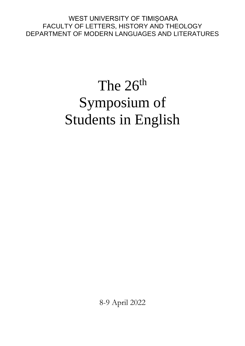WEST UNIVERSITY OF TIMIȘOARA FACULTY OF LETTERS, HISTORY AND THEOLOGY DEPARTMENT OF MODERN LANGUAGES AND LITERATURES

# The  $26<sup>th</sup>$ Symposium of Students in English

8-9 April 2022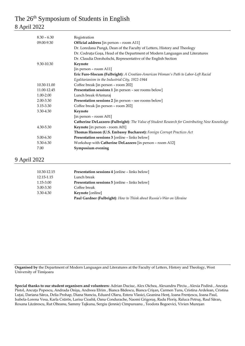## The 26<sup>th</sup> Symposium of Students in English 8 April 2022

| $8.30 - 6.30$ |                                                                                                       |
|---------------|-------------------------------------------------------------------------------------------------------|
| 09.00-9.30    | Registration                                                                                          |
|               | Official address [in person - room A11]                                                               |
|               | Dr. Loredana Pungă, Dean of the Faculty of Letters, History and Theology                              |
|               | Dr. Codruta Goșa, Head of the Department of Modern Languages and Literatures                          |
|               | Dr. Claudia Doroholschi, Representative of the English Section                                        |
| 9.30-10.30    | Keynote                                                                                               |
|               | [in person - room A11]                                                                                |
|               | Eric Fure-Slocum (Fulbright): A Croatian-American Woman's Path to Labor-Left Racial                   |
|               | Egalitarianism in the Industrial City, 1922-1944                                                      |
| 10.30-11.00   | Coffee break [in person - room 202]                                                                   |
| 11.00-12.45   | Presentation sessions 1 [in person - see rooms below]                                                 |
| 1.00-2.00     | Lunch break @Anturaj                                                                                  |
| 2.00-3.30     | Presentation sessions 2 [in person - see rooms below]                                                 |
| 3.15-3.30     | Coffee break [in person - room 202]                                                                   |
| 3.30-4.30     | Keynote                                                                                               |
|               | [in person – room A01]                                                                                |
|               | <b>Catherine DeLazzero (Fulbright)</b> : The Value of Student Research for Contributing New Knowledge |
| 4.30-5.30     | Keynote [in person - room A01]                                                                        |
|               | Thomas Hanson (U.S. Embassy Bucharest): Foreign Corrupt Practices Act                                 |
| $5.00 - 6.30$ | Presentation sessions 3 [online - links below]                                                        |
| 5.30-6.30     | Workshop with Catherine DeLazzero [in person - room A12]                                              |
| 7.00          | Symposium evening                                                                                     |
|               |                                                                                                       |

### 9 April 2022

| 10.30-12.15 | <b>Presentation sessions 4 [online - links below]</b>                |
|-------------|----------------------------------------------------------------------|
| 12.15-1.15  | Lunch break                                                          |
| 1.15-3.00   | <b>Presentation sessions 5 [online - links below]</b>                |
| 3.00-3.30   | Coffee break                                                         |
| 3.30-4.30   | <b>Keynote</b> [online]                                              |
|             | Paul Gardner (Fulbright): How to Think about Russia's War on Ukraine |

**Organised by** the Department of Modern Languages and Literatures at the Faculty of Letters, History and Theology, West University of Timişoara

**Special thanks to our student organisers and volunteers:** Adrian Duciuc, Alex Oichea, Alexandru Pîrciu , Alexia Podină , Ancuța Pistol, Ancuța Popescu, Andrada Onișa, Andreea Efrim , Bianca Bădescu, Bianca Crișan, Carmen Tuns, Cristina Ardelean, Cristina Luțai, Dariana Sârca, Delia Prohap, Diana Stanciu, Eduard Olaru, Estera Vlasici, Geanina Henț, Ioana Frențescu, Ioana Paul, Isabela-Lorena Vesa, Karla Csürös, Larisa Cioabă, Oana Condurache, Naomi Grigoraș, Radu Floriș, Raluca Petruș, Raul Săran, Roxana Lăzărescu, Rut Olteanu, Sammy Tajkuna, Sergiu (Jennie) Cîmpureanu , Teodora Bogoevici, Vivien Mureșan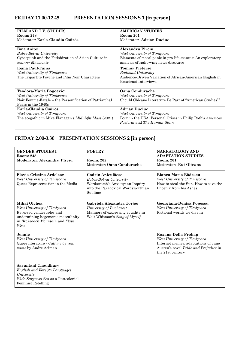| <b>FILM AND T.V. STUDIES</b><br><b>Room: 248</b><br>Moderator: Karla-Claudia Csürös                                                     | <b>AMERICAN STUDIES</b><br><b>Room: 201</b><br>Moderator: Adrian Duciuc                                                                                          |
|-----------------------------------------------------------------------------------------------------------------------------------------|------------------------------------------------------------------------------------------------------------------------------------------------------------------|
| Ema Anitei<br>Babes-Bolyai University<br>Cyberpunk and the Fetishization of Asian Culture in<br>Johnny Mnemonic                         | Alexandru Pîrciu<br>West University of Timișoara<br>Elements of moral panic in pro-life stances: An exploratory<br>analysis of right-wing news discourse         |
| Ioana Paul-Faina<br>West University of Timisoara<br>The Tripartite Psyche and Film Noir Characters                                      | <b>Tommy Pieterse</b><br>Radboud University<br>Audience-Driven Variation of African-American English in<br>Broadcast Interviews                                  |
| Teodora-Maria Bogoevici<br>West University of Timisoara<br>Noir Femme-Fatale – the Personification of Patriarchal<br>Fears in the 1940s | Oana Condurache<br>West University of Timisoara<br>Should Chicano Literature Be Part of "American Studies"?                                                      |
| Karla-Claudia Csürös<br>West University of Timișoara<br>The ecogothic in Mike Flanagan's <i>Midnight Mass</i> (2021)                    | <b>Adrian Duciuc</b><br>West University of Timisoara<br>Born in the USA: Personal Crises in Philip Roth's American<br><i>Pastoral</i> and <i>The Human Stain</i> |

## **FRIDAY 2.00-3.30 PRESENTATION SESSIONS 2 [in person]**

| <b>GENDER STUDIES I</b><br><b>Room: 248</b><br>Moderator: Alexandru Pîrciu                                                                                 | <b>POETRY</b><br><b>Room: 202</b><br>Moderator: Oana Condurache                                                                   | <b>NARRATOLOGY AND</b><br><b>ADAPTATION STUDIES</b><br><b>Room: 201</b><br>Moderator: Rut Olteanu                                                       |
|------------------------------------------------------------------------------------------------------------------------------------------------------------|-----------------------------------------------------------------------------------------------------------------------------------|---------------------------------------------------------------------------------------------------------------------------------------------------------|
| Flavia-Cristina Ardelean<br>West University of Timișoara<br>Queer Representation in the Media                                                              | Codrin Aniculăese<br>Babes-Bolyai University<br>Wordsworth's Anxiety: an Inquiry<br>into the Paradoxical Wordsworthian<br>Sublime | Bianca-Maria Bădescu<br>West University of Timișoara<br>How to steal the Sun. How to save the<br>Phoenix from his Ashes                                 |
| Mihai Oichea<br>West University of Timișoara<br>Reversed gender roles and<br>undermining hegemonic masculinity<br>in Brokeback Mountain and Flyin'<br>West | Gabriela Alexandra Torjoc<br>University of Bucharest<br>Manners of expressing equality in<br>Walt Whitman's Song of Myself        | Georgiana-Denisa Popescu<br>West University of Timișoara<br>Fictional worlds we dive in                                                                 |
| Jennie<br>West University of Timișoara<br>Queer literature - Call me by your<br>name by Andre Aciman                                                       |                                                                                                                                   | Roxana-Delia Prohap<br>West University of Timișoara<br>Internet memes: adaptations of Jane<br>Austen's novel Pride and Prejudice in<br>the 21st century |
| Sayantani Choudhury<br><b>English and Foreign Languages</b><br>University<br>Wide Sargasso Sea as a Postcolonial<br><b>Feminist Retelling</b>              |                                                                                                                                   |                                                                                                                                                         |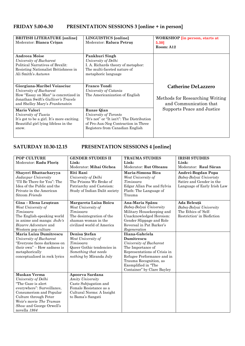## **FRIDAY 5.00-6.30 PRESENTATION SESSIONS 3 [online + in person]**

| <b>BRITISH LITERATURE [online]</b><br>Moderator: Bianca Crișan                                                                                                                  | LINGUISTICS [online]<br>Moderator: Raluca Petrus                                                                                                                   | <b>WORKSHOP</b> [in person, starts at<br>5.30]<br>Room: A12                             |
|---------------------------------------------------------------------------------------------------------------------------------------------------------------------------------|--------------------------------------------------------------------------------------------------------------------------------------------------------------------|-----------------------------------------------------------------------------------------|
| Andreea Moise<br>University of Bucharest<br><b>Political Narratives of Brexlit:</b><br>Resisting Nationalist Britishness in<br>Ali Smith's Autumn                               | Pankhuri Singh<br>University of Delhi<br>I. A. Richards theory of metaphor:<br>The multi-faceted nature of<br>metaphoric language                                  |                                                                                         |
| Giorgiana-Maribel Voiasciuc<br>University of Bucharest<br>How "Essay on Man" is concretized in<br>Jonathan Swift's <i>Gulliver's Travels</i><br>and Shelley Mary's Frankenstein | <b>Franco Tondi</b><br>University of Catania<br>The Americanization of English                                                                                     | <b>Catherine DeLazzero</b><br>Methods for Researching Writing<br>and Communication that |
| <b>Mario Valori</b><br>University of Tuscia<br>It's got to be a girl. It's more exciting.<br>Beautiful girl lying lifeless in the<br>snow.                                      | <b>Runze Qian</b><br>University of Toronto<br>"It's not" or "It isn't": The Distribution<br>of Pro-Aux-Neg Contraction in Three<br>Registers from Canadian English | Supports Peace and Justice                                                              |

## **SATURDAY 10.30-12.15 PRESENTATION SESSIONS 4 [online]**

| POP CULTURE                   | <b>GENDER STUDIES II</b>      | <b>TRAUMA STUDIES</b>        | <b>IRISH STUDIES</b>        |
|-------------------------------|-------------------------------|------------------------------|-----------------------------|
| Moderator: Radu Floris        | Link:                         | Link:                        | Link:                       |
|                               | Moderator: Mihai Oichea       | Moderator: Rut Olteanu       | Moderator: Raul Săran       |
| Shayeri Bhattacharyya         | Riti Rani                     | Maria-Simona Bica            | Andrei-Bogdan Popa          |
| Jadavpur University           | University of Delhi           | West University of           | Babeș-Bolyai Univeristy     |
| "I'll Be There for You": The  | The Prisons We Broke of       | Timisoara                    | Satire and Gender in the    |
| Idea of the Public and the    | Patriarchy and Casteism:      | Edgar Allan Poe and Sylvia   | Language of Early Irish Law |
| Private in the American       | Study of Indian Dalit society | Plath: The Language of       |                             |
| Sitcom Friends                |                               | Trauma                       |                             |
| Gina - Elena Leuștean         | Margareta Luisa Boicu         | Ana-Maria Spânu              | Ada Beleuță                 |
| West University of            | West University of            | Babeș-Bolyai University      | Babeș-Bolyai University     |
| Timisoara                     | Timisoara                     | Military Housekeeping and    | The Ethics of 'Self-        |
| The English-speaking world    | The desintegration of the     | Unacknowledged Heroism:      | Restriction' in Biofiction  |
| in anime and manga: JoJo's    | shaman woman in the           | Gender Slippage and Role     |                             |
| <i>Bizarre Adventure</i> and  | civilized world of America    | Reversal in Pat Barker's     |                             |
| Western pop culture           |                               | Regeneration                 |                             |
| Maria Luiza Dumitrescu        | Denisa Ştefan                 | Iliana-Gabriela              |                             |
| University of Bucharest       | West University of            | Dumitrescu                   |                             |
| "Everyone faces darkness on   | Timisoara                     | University of Bucharest      |                             |
| their own" - How sadness is   | Queer Gothic tendencies in    | The Importance of            |                             |
| metaphorically                | Something that needs          | Representations of Crisis in |                             |
| conceptualised in rock lyrics | nothing by Miranda July       | Refugee Performance and in   |                             |
|                               |                               | Trauma Recognition, as       |                             |
|                               |                               | Exemplified in "The          |                             |
|                               |                               | Container" by Clare Bayley   |                             |
| <b>Muskan Verma</b>           | Apoorva Sardana               |                              |                             |
| University of Delhi           | <b>Amity University</b>       |                              |                             |
| "The Gaze is alert            | Caste Subjugation and         |                              |                             |
| everywhere": Surveillance,    | Female Resistance as a        |                              |                             |
| Consumerism and Popular       | Cultural Norms: A Insight     |                              |                             |
| Culture through Peter         | to Bama's Sangati             |                              |                             |
| Weir's movie The Truman       |                               |                              |                             |
| Show and George Orwell's      |                               |                              |                             |
| novella 1984                  |                               |                              |                             |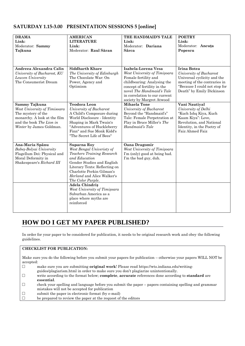### **SATURDAY 1.15-3.00 PRESENTATION SESSIONS 5 [online]**

| <b>DRAMA</b>                 | <b>AMERICAN</b>                                         | THE HANDMAID'S TALE                                        | <b>POETRY</b>                 |
|------------------------------|---------------------------------------------------------|------------------------------------------------------------|-------------------------------|
| Link:                        | <b>LITERATURE</b>                                       | Link:                                                      | Link:                         |
| Moderator: Sammy             | Link:                                                   | Moderator: Dariana                                         | Moderator: Ancuța             |
| Tajkuna                      | Moderator: Raul Săran                                   | Sârca                                                      | Popescu                       |
|                              |                                                         |                                                            |                               |
|                              |                                                         |                                                            |                               |
| Andreea Alexandra Calin      | <b>Siddharth Khare</b>                                  | Isabela-Lorena Vesa                                        | <b>Irina Botea</b>            |
| University of Bucharest, KU  | The University of Edinburgh                             | West University of Timișoara                               | University of Bucharest       |
| Leuven University            | The Chocolate War: On                                   | Female fertility and                                       | Universal cyclicity and the   |
| The Consumerist Dream        | Power, Agency and                                       | childbearing: Analysing the                                | meeting of the contraries in  |
|                              | Optimism                                                | concept of fertility in the                                | "Because I could not stop for |
|                              |                                                         | novel The Handmaid's Tale<br>in correlation to our current | Death" by Emily Dickinson     |
|                              |                                                         | society by Margret Atwood                                  |                               |
| Sammy Tajkuna                | <b>Teodora Leon</b>                                     | <b>Mihaela Tone</b>                                        | Vani Nautiyal                 |
| West University of Timisoara | University of Bucharest                                 | University of Bucharest                                    | University of Delhi           |
| The mystery of the           | A Child's Composure during                              | Beyond the "Handmaid's"                                    | "Kuch Ishq Kiya, Kuch         |
| monarchy. A look at the film | World Disclosure - Identity                             | Tale: Female Perpetration at                               | Kaam Kiya": Love,             |
| and the book The Lion in     | Shaping in Mark Twain's                                 | Play in Bruce Miller's The                                 | Revolution, and National      |
| Winter by James Goldman.     | "Adventures of Huckleberry                              | Handmaid's Tale                                            | Identity, in the Poetry of    |
|                              | Finn" and Sue Monk Kidd's                               |                                                            | Faiz Ahmed Faiz               |
|                              | "The Secret Life of Bees"                               |                                                            |                               |
| Ana-Maria Spânu              | Suparna Roy                                             | Oana Dragomir                                              |                               |
| Babeș-Bolyai University      | West Bengal Univeristy of                               | West University of Timișoara                               |                               |
| Flagellum Dei: Physical and  | <b>Teachers Training Research</b>                       | I'm (only) good at being bad.                              |                               |
| Moral Deformity in           | and Education                                           | I'm the bad guy, duh.                                      |                               |
| Shakespeare's Richard III    | Gender Studies and English                              |                                                            |                               |
|                              | Literary Texts: Reflecting on                           |                                                            |                               |
|                              | Charlotte Perkin Gilman's<br>Herland and Alice Walker's |                                                            |                               |
|                              |                                                         |                                                            |                               |
|                              | The Color Purple.<br>Adela Chindriş                     |                                                            |                               |
|                              | West University of Timișoara                            |                                                            |                               |
|                              | Suburban America as a                                   |                                                            |                               |
|                              | place where myths are                                   |                                                            |                               |
|                              | reinforced                                              |                                                            |                               |
|                              |                                                         |                                                            |                               |
|                              |                                                         |                                                            |                               |

## **HOW DO I GET MY PAPER PUBLISHED?**

In order for your paper to be considered for publication, it needs to be original research work and obey the following guidelines.

#### **CHECKLIST FOR PUBLICATION:**

Make sure you do the following before you submit your papers for publication – otherwise your papers WILL NOT be accepted:

- □ make sure you are submitting **original work**! Please read https://wts.indiana.edu/writing
	- guides/plagiarism.html in order to make sure you don't plagiarize unintentionally.
- □ write according to the format below; **complete**, **accurate** references done according to **standard** are **essential**.
- $\square$  check your spelling and language before you submit the paper papers containing spelling and grammar mistakes will not be accepted for publication
- $\square$  submit the paper in electronic format (by e-mail)
- $\square$  be prepared to review the paper at the request of the editors